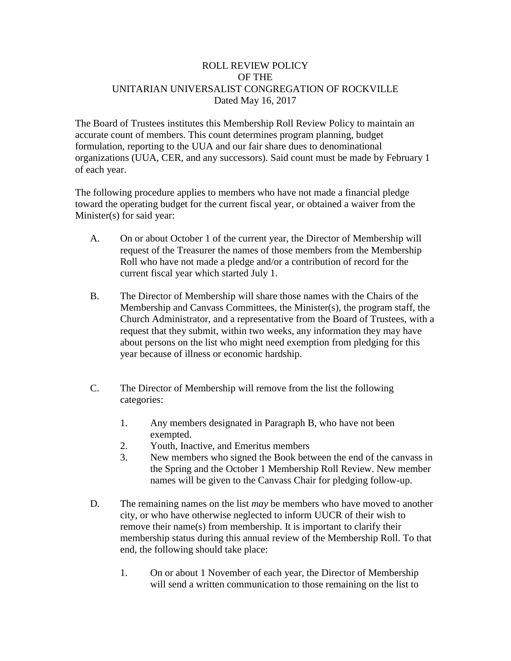## ROLL REVIEW POLICY OF THE UNITARIAN UNIVERSALIST CONGREGATION OF ROCKVILLE Dated May 16, 2017

The Board of Trustees institutes this Membership Roll Review Policy to maintain an accurate count of members. This count determines program planning, budget formulation, reporting to the UUA and our fair share dues to denominational organizations (UUA, CER, and any successors). Said count must be made by February 1 of each year.

The following procedure applies to members who have not made a financial pledge toward the operating budget for the current fiscal year, or obtained a waiver from the Minister(s) for said year:

- A. On or about October 1 of the current year, the Director of Membership will request of the Treasurer the names of those members from the Membership Roll who have not made a pledge and/or a contribution of record for the current fiscal year which started July 1.
- B. The Director of Membership will share those names with the Chairs of the Membership and Canvass Committees, the Minister(s), the program staff, the Church Administrator, and a representative from the Board of Trustees, with a request that they submit, within two weeks, any information they may have about persons on the list who might need exemption from pledging for this year because of illness or economic hardship.
- C. The Director of Membership will remove from the list the following categories:
	- 1. Any members designated in Paragraph B, who have not been exempted.
	- 2. Youth, Inactive, and Emeritus members
	- 3. New members who signed the Book between the end of the canvass in the Spring and the October 1 Membership Roll Review. New member names will be given to the Canvass Chair for pledging follow-up.
- D. The remaining names on the list *may* be members who have moved to another city, or who have otherwise neglected to inform UUCR of their wish to remove their name(s) from membership. It is important to clarify their membership status during this annual review of the Membership Roll. To that end, the following should take place:
	- 1. On or about 1 November of each year, the Director of Membership will send a written communication to those remaining on the list to